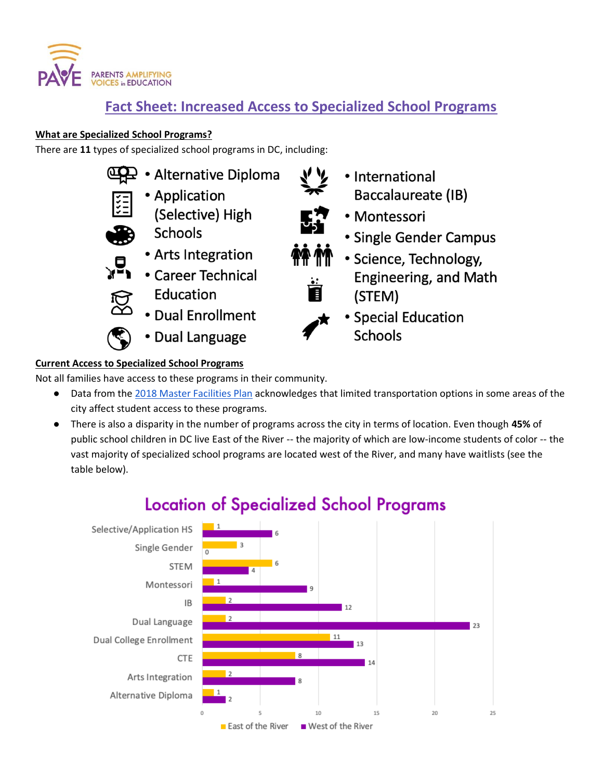

## **Fact Sheet: Increased Access to Specialized School Programs**

### **What are Specialized School Programs?**

There are **11** types of specialized school programs in DC, including:



## **Current Access to Specialized School Programs**

Not all families have access to these programs in their community.

- Data from the [2018 Master Facilities Plan](https://dme.dc.gov/sites/default/files/dc/sites/dme/publication/attachments/DC_MFP_2019_Feb%2021_Final_compressed_0.pdf) acknowledges that limited transportation options in some areas of the city affect student access to these programs.
- There is also a disparity in the number of programs across the city in terms of location. Even though **45%** of public school children in DC live East of the River -- the majority of which are low-income students of color -- the vast majority of specialized school programs are located west of the River, and many have waitlists (see the table below).



# **Location of Specialized School Programs**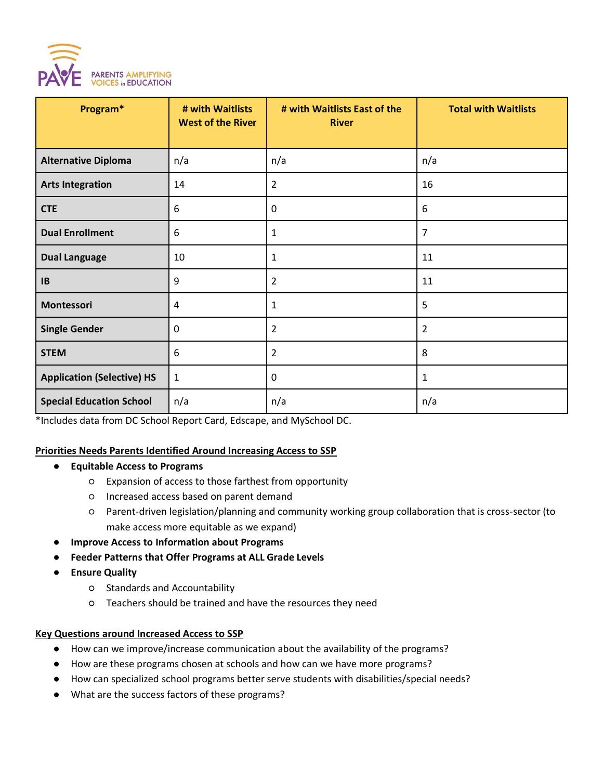

| Program*                          | # with Waitlists<br><b>West of the River</b> | # with Waitlists East of the<br><b>River</b> | <b>Total with Waitlists</b> |
|-----------------------------------|----------------------------------------------|----------------------------------------------|-----------------------------|
|                                   |                                              |                                              |                             |
| <b>Alternative Diploma</b>        | n/a                                          | n/a                                          | n/a                         |
| <b>Arts Integration</b>           | 14                                           | $\overline{2}$                               | 16                          |
| <b>CTE</b>                        | 6                                            | 0                                            | 6                           |
| <b>Dual Enrollment</b>            | 6                                            | $\mathbf{1}$                                 | $\overline{7}$              |
| <b>Dual Language</b>              | 10                                           | $\mathbf{1}$                                 | 11                          |
| IB                                | 9                                            | $\overline{2}$                               | 11                          |
| Montessori                        | 4                                            | $\mathbf{1}$                                 | 5                           |
| <b>Single Gender</b>              | 0                                            | $\overline{2}$                               | $\overline{2}$              |
| <b>STEM</b>                       | 6                                            | $\overline{2}$                               | 8                           |
| <b>Application (Selective) HS</b> | $\mathbf{1}$                                 | $\mathbf 0$                                  | $\mathbf{1}$                |
| <b>Special Education School</b>   | n/a                                          | n/a                                          | n/a                         |

\*Includes data from DC School Report Card, Edscape, and MySchool DC.

#### **Priorities Needs Parents Identified Around Increasing Access to SSP**

- **Equitable Access to Programs**
	- Expansion of access to those farthest from opportunity
	- Increased access based on parent demand
	- Parent-driven legislation/planning and community working group collaboration that is cross-sector (to make access more equitable as we expand)
- **Improve Access to Information about Programs**
- **Feeder Patterns that Offer Programs at ALL Grade Levels**
- **Ensure Quality**
	- Standards and Accountability
	- Teachers should be trained and have the resources they need

#### **Key Questions around Increased Access to SSP**

- How can we improve/increase communication about the availability of the programs?
- How are these programs chosen at schools and how can we have more programs?
- How can specialized school programs better serve students with disabilities/special needs?
- What are the success factors of these programs?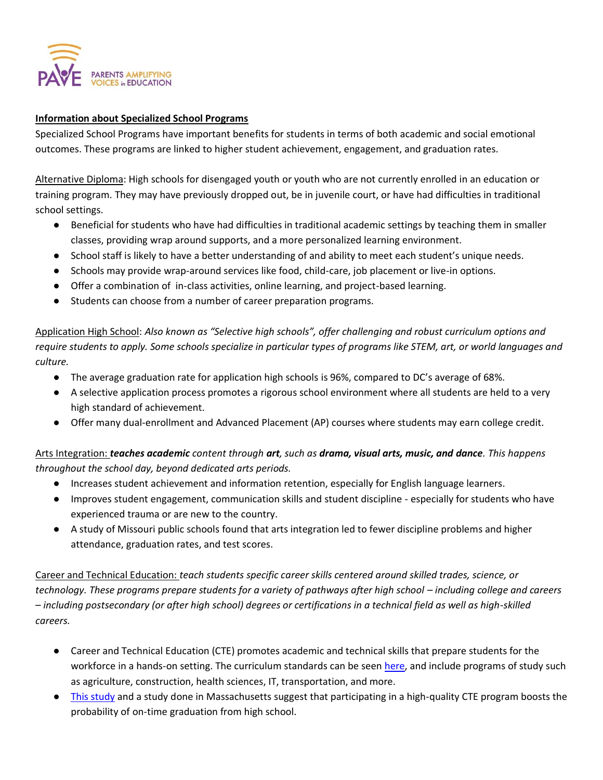

#### **Information about Specialized School Programs**

Specialized School Programs have important benefits for students in terms of both academic and social emotional outcomes. These programs are linked to higher student achievement, engagement, and graduation rates.

Alternative Diploma: High schools for disengaged youth or youth who are not currently enrolled in an education or training program. They may have previously dropped out, be in juvenile court, or have had difficulties in traditional school settings.

- Beneficial for students who have had difficulties in traditional academic settings by teaching them in smaller classes, providing wrap around supports, and a more personalized learning environment.
- School staff is likely to have a better understanding of and ability to meet each student's unique needs.
- Schools may provide wrap-around services like food, child-care, job placement or live-in options.
- Offer a combination of in-class activities, online learning, and project-based learning.
- Students can choose from a number of career preparation programs.

Application High School: *Also known as "Selective high schools", offer challenging and robust curriculum options and require students to apply. Some schools specialize in particular types of programs like STEM, art, or world languages and culture.*

- The average graduation rate for application high schools is 96%, compared to DC's average of 68%.
- A selective application process promotes a rigorous school environment where all students are held to a very high standard of achievement.
- Offer many dual-enrollment and Advanced Placement (AP) courses where students may earn college credit.

Arts Integration: *teaches academic content through art, such as drama, visual arts, music, and dance. This happens throughout the school day, beyond dedicated arts periods.*

- Increases student achievement and information retention, especially for English language learners.
- Improves student engagement, communication skills and student discipline especially for students who have experienced trauma or are new to the country.
- A [study of Missouri public schools](https://www.missouriartscouncil.org/graphics/assets/documents/b657d9f1adfc.pdf) found that arts integration led to fewer discipline problems and higher attendance, graduation rates, and test scores.

Career and Technical Education: *teach students specific career skills centered around skilled trades, science, or technology. These programs prepare students for a variety of pathways after high school – including college and careers – including postsecondary (or after high school) degrees or certifications in a technical field as well as high-skilled careers.*

- Career and Technical Education (CTE) promotes academic and technical skills that prepare students for the workforce in a hands-on setting. The curriculum standards can be see[n here,](https://careertech.org/sites/default/files/CCTC-IndustryStandards.pdf) and include programs of study such as agriculture, construction, health sciences, IT, transportation, and more.
- [This study](https://journals.sagepub.com/doi/pdf/10.3102/0002831217734805) and a [study done in Massachusetts](https://www.mitpressjournals.org/doi/full/10.1162/edfp_a_00224) suggest that participating in a high-quality CTE program boosts the probability of on-time graduation from high school.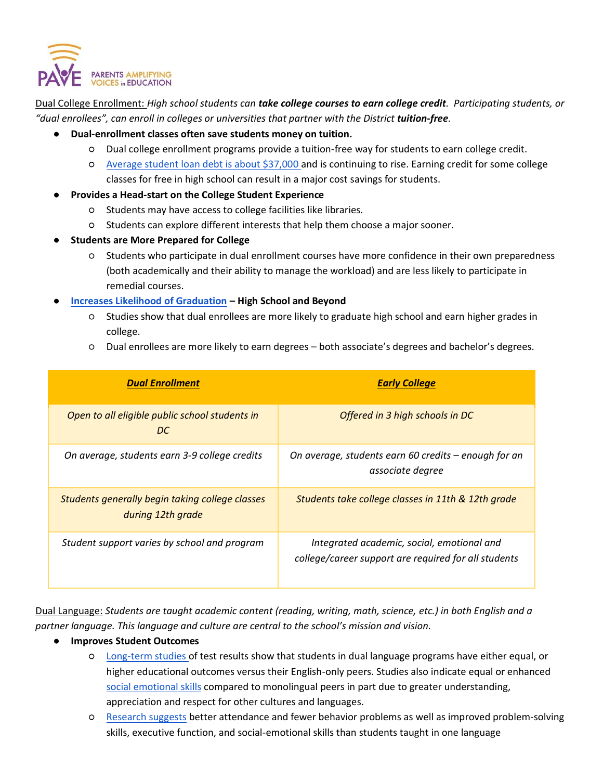

Dual College Enrollment: *High school students can take college courses to earn college credit. Participating students, or "dual enrollees", can enroll in colleges or universities that partner with the District tuition-free.*

- **Dual-enrollment classes often save students money on tuition.**
	- Dual college enrollment programs provide a tuition-free way for students to earn college credit.
	- [Average student loan debt is about \\$37,000 a](https://www.cnbc.com/2019/08/13/21percent-of-student-loan-borrowers-struggle-to-pay-for-child-care.html)nd is continuing to rise. Earning credit for some college classes for free in high school can result in a major cost savings for students.
- **Provides a Head-start on the College Student Experience**
	- Students may have access to college facilities like libraries.
	- Students can explore different interests that help them choose a major sooner.
- **Students are More Prepared for College** 
	- Students who participate in dual enrollment courses have more confidence in their own preparedness (both academically and their ability to manage the workload) and are less likely to participate in remedial courses.
- **[Increases Likelihood of Graduation](https://www2.ed.gov/programs/slcp/finaldual.pdf) – High School and Beyond** 
	- Studies show that dual enrollees are more likely to graduate high school and earn higher grades in college.
	- Dual enrollees are more likely to earn degrees both associate's degrees and bachelor's degrees.

| <b>Dual Enrollment</b>                                               | <b>Early College</b>                                                                               |  |
|----------------------------------------------------------------------|----------------------------------------------------------------------------------------------------|--|
| Open to all eligible public school students in<br>DC.                | Offered in 3 high schools in DC                                                                    |  |
| On average, students earn 3-9 college credits                        | On average, students earn 60 credits – enough for an<br>associate degree                           |  |
| Students generally begin taking college classes<br>during 12th grade | Students take college classes in 11th & 12th grade                                                 |  |
| Student support varies by school and program                         | Integrated academic, social, emotional and<br>college/career support are required for all students |  |

Dual Language: *Students are taught academic content (reading, writing, math, science, etc.) in both English and a partner language. This language and culture are central to the school's mission and vision.*

- **Improves Student Outcomes**
	- [Long-term studies o](https://www.luminpdf.com/viewer/5e4598f93382fe001174863e)f test results show that students in dual language programs have either equal, or higher educational outcomes versus their English-only peers. Studies also indicate equal or enhanced [social emotional skills](https://s3.amazonaws.com/academia.edu.documents/43286965/The_socialemotional_development_of_dual_20160302-17967-zfo0ln.pdf?response-content-disposition=inline%3B%20filename%3DThe_social_emotional_development_of_dual.pdf&X-Amz-Algorithm=AWS4-HMAC-SHA256&X-Amz-Credential=AKIAIWOWYYGZ2Y53UL3A%2F20200213%2Fus-east-1%2Fs3%2Faws4_request&X-Amz-Date=20200213T183541Z&X-Amz-Expires=3600&X-Amz-SignedHeaders=host&X-Amz-Signature=81fb20f91ce1ae32ed78f16227c767a82714f9f0a8897299588418b7c6dddb7f) compared to monolingual peers in part due to greater understanding, appreciation and respect for other cultures and languages.
	- [Research suggests](https://www.npr.org/sections/ed/2016/11/29/497943749/6-potential-brain-benefits-of-bilingual-education) better attendance and fewer behavior problems as well as improved problem-solving skills, executive function, and social-emotional skills than students taught in one language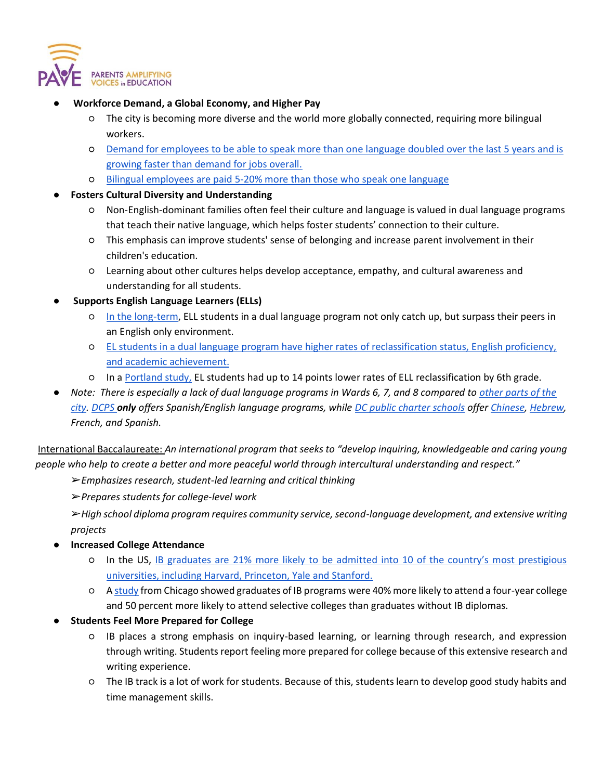

- **Workforce Demand, a Global Economy, and Higher Pay**
	- The city is becoming more diverse and the world more globally connected, requiring more bilingual workers.
	- [Demand for employees to be able to speak more than one language doubled over the last 5 years and is](https://www.newamericaneconomy.org/press-release/demand-for-bilingual-workers-more-than-doubled-in-5-years-new-report-shows/)  [growing faster than demand for jobs overall.](https://www.newamericaneconomy.org/press-release/demand-for-bilingual-workers-more-than-doubled-in-5-years-new-report-shows/)
	- [Bilingual employees are paid 5-20% more than those who speak one language](https://www.schwartzinsgrp.com/blog/the-career-advantages-of-being-bilingual)
- **Fosters Cultural Diversity and Understanding** 
	- Non-English-dominant families often feel their culture and language is valued in dual language programs that teach their native language, which helps foster students' connection to their culture.
	- This emphasis can improve students' sense of belonging and increase parent involvement in their children's education.
	- Learning about other cultures helps develop acceptance, empathy, and cultural awareness and understanding for all students.
- **Supports English Language Learners (ELLs)**
	- [In the long-term,](https://ed.stanford.edu/news/students-learning-english-benefit-more-two-language-programs-english-immersion-stanford) ELL students in a dual language program not only catch up, but surpass their peers in an English only environment.
	- [EL students in a dual language program have higher rates of reclassification status, English proficiency,](https://www.luminpdf.com/viewer/5e4698fc406d8f0012749517)  [and academic achievement.](https://www.luminpdf.com/viewer/5e4698fc406d8f0012749517)
	- In a [Portland study,](http://dcimmersion.org/immersion-in-the-world/portland-oregon/) EL students had up to 14 points lower rates of ELL reclassification by 6th grade.
- *Note: There is especially a lack of dual language programs in Wards 6, 7, and 8 compared to other parts of the [city.](https://dcimmersion.org/dual-language-schools-dc/) [DCPS](https://dcps.dc.gov/DL) only offers Spanish/English language programs, while [DC public charter schools](https://dcpcsb.org/compare-schools?name=&field_school_characteristics%5B%5D=96&pmf_asc=0&pmf_des=&pmf=2&items_per_page=12) offer [Chinese,](https://www.washingtonyuying.org/) [Hebrew,](https://www.selapcs.org/) French, and Spanish.*

International Baccalaureate: *An international program that seeks to "develop inquiring, knowledgeable and caring young people who help to create a better and more peaceful world through intercultural understanding and respect."*

➢*Emphasizes research, student-led learning and critical thinking*

➢*Prepares students for college-level work*

➢*High school diploma program requires community service, second-language development, and extensive writing projects*

- **Increased College Attendance**
	- In the US, [IB graduates are 21% more likely to be admitted into 10 of the country's most prestigious](https://www.sandiegounified.org/why-ib)  [universities, including Harvard, Princeton, Yale and Stanford.](https://www.sandiegounified.org/why-ib)
	- [A study](https://consortium.uchicago.edu/sites/default/files/2018-10/IB%20Report1.pdf) from Chicago showed graduates of IB programs were 40% more likely to attend a four-year college and 50 percent more likely to attend selective colleges than graduates without IB diplomas.
- **Students Feel More Prepared for College** 
	- IB places a strong emphasis on inquiry-based learning, or learning through research, and expression through writing. Students report feeling more prepared for college because of this extensive research and writing experience.
	- The IB track is a lot of work for students. Because of this, students learn to develop good study habits and time management skills.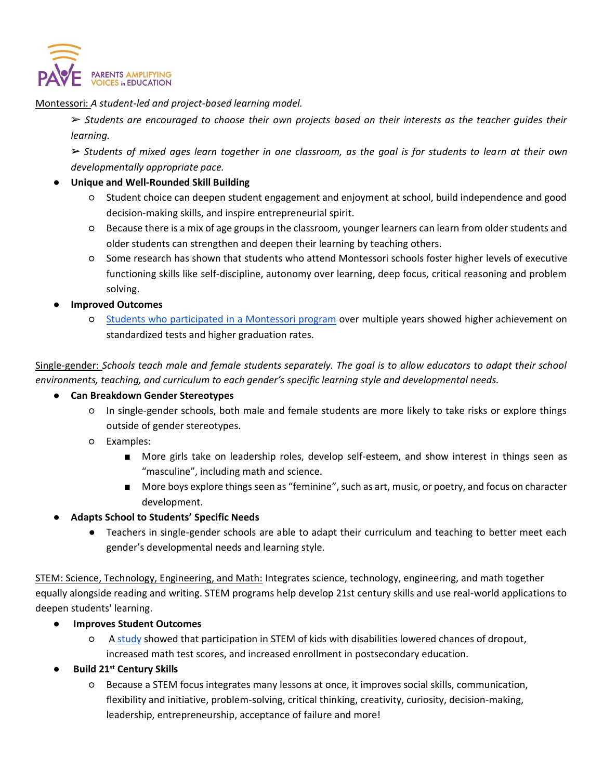

Montessori: *A student-led and project-based learning model.*

➢ *Students are encouraged to choose their own projects based on their interests as the teacher guides their learning.*

➢ *Students of mixed ages learn together in one classroom, as the goal is for students to learn at their own developmentally appropriate pace.*

#### ● **Unique and Well-Rounded Skill Building**

- Student choice can deepen student engagement and enjoyment at school, build independence and good decision-making skills, and inspire entrepreneurial spirit.
- Because there is a mix of age groups in the classroom, younger learners can learn from older students and older students can strengthen and deepen their learning by teaching others.
- Some research has shown that students who attend Montessori schools foster higher levels of executive functioning skills like self-discipline, autonomy over learning, deep focus, critical reasoning and problem solving.
- **Improved Outcomes**
	- [Students who participated in a Montessori program](https://www.public-montessori.org/resources/making-the-case-for-montessori-in-the-public-sector/does-it-work-what-research-says-about-montessori-and-student-outcomes/) over multiple years showed higher achievement on standardized tests and higher graduation rates.

Single-gender: *Schools teach male and female students separately. The goal is to allow educators to adapt their school environments, teaching, and curriculum to each gender's specific learning style and developmental needs.*

- **Can Breakdown Gender Stereotypes**
	- In single-gender schools, both male and female students are more likely to take risks or explore things outside of gender stereotypes.
	- Examples:
		- More girls take on leadership roles, develop self-esteem, and show interest in things seen as "masculine", including math and science.
		- More boys explore things seen as "feminine", such as art, music, or poetry, and focus on character development.

#### ● **Adapts School to Students' Specific Needs**

● Teachers in single-gender schools are able to adapt their curriculum and teaching to better meet each gender's developmental needs and learning style.

STEM: Science, Technology, Engineering, and Math: Integrates science, technology, engineering, and math together equally alongside reading and writing. STEM programs help develop 21st century skills and use real-world applications to deepen students' learning.

#### **Improves Student Outcomes**

- O A [study](https://journals.sagepub.com/doi/full/10.1177/0895904816673738) showed that participation in STEM of kids with disabilities lowered chances of dropout, increased math test scores, and increased enrollment in postsecondary education.
- **Build 21st Century Skills**
	- Because a STEM focus integrates many lessons at once, it improves social skills, communication, flexibility and initiative, problem-solving, critical thinking, creativity, curiosity, decision-making, leadership, entrepreneurship, acceptance of failure and more!